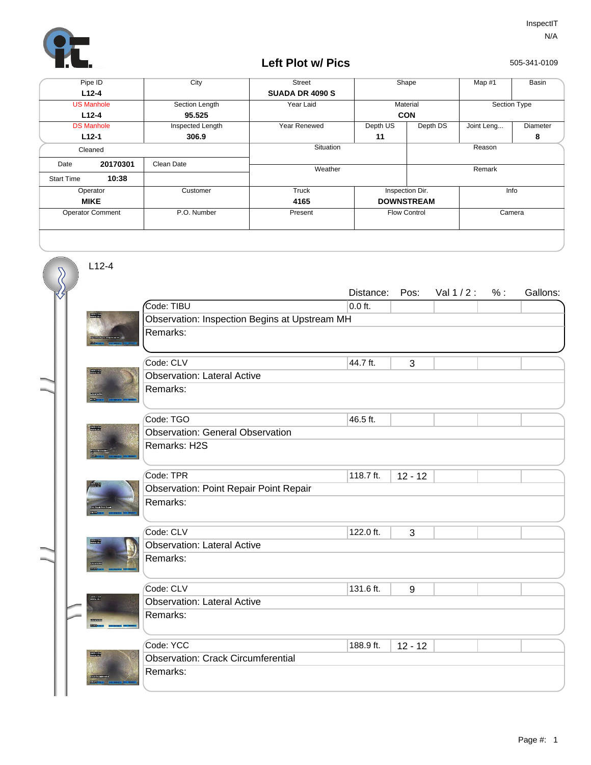

## **Left Plot w/ Pics**

505-341-0109

| Pipe ID                 |          | City             | <b>Street</b>          | Shape           |                               | Map #1       | Basin    |
|-------------------------|----------|------------------|------------------------|-----------------|-------------------------------|--------------|----------|
| $L12 - 4$               |          |                  | <b>SUADA DR 4090 S</b> |                 |                               |              |          |
| <b>US Manhole</b>       |          | Section Length   | Year Laid              | Material        |                               | Section Type |          |
| $L12-4$                 |          | 95.525           |                        | <b>CON</b>      |                               |              |          |
| <b>DS Manhole</b>       |          | Inspected Length | Year Renewed           | Depth US        | Depth DS                      | Joint Leng   | Diameter |
| $L12-1$                 |          | 306.9            |                        | 11              |                               |              | 8        |
| Cleaned                 |          |                  | Situation              | Reason          |                               |              |          |
| Date                    | 20170301 | Clean Date       | Weather                |                 |                               | Remark       |          |
| <b>Start Time</b>       | 10:38    |                  |                        |                 |                               |              |          |
| Operator                |          | Customer         | Truck                  | Inspection Dir. | Info                          |              |          |
| <b>MIKE</b>             |          |                  | 4165                   |                 | <b>DOWNSTREAM</b>             |              |          |
| <b>Operator Comment</b> |          | P.O. Number      | Present                |                 | Camera<br><b>Flow Control</b> |              |          |
|                         |          |                  |                        |                 |                               |              |          |

L12-4

 $\overline{\mathcal{S}}$ 

|                         |                                               | Distance: | Pos:      | Val $1/2$ : | % : | Gallons: |  |  |  |
|-------------------------|-----------------------------------------------|-----------|-----------|-------------|-----|----------|--|--|--|
|                         | Code: TIBU                                    | $0.0$ ft. |           |             |     |          |  |  |  |
| <b>START</b>            | Observation: Inspection Begins at Upstream MH |           |           |             |     |          |  |  |  |
|                         | Remarks:                                      |           |           |             |     |          |  |  |  |
|                         |                                               |           |           |             |     |          |  |  |  |
|                         | Code: CLV                                     | 44.7 ft.  | 3         |             |     |          |  |  |  |
| <b>Books</b>            | <b>Observation: Lateral Active</b>            |           |           |             |     |          |  |  |  |
| <b>CONTRACT</b>         | Remarks:                                      |           |           |             |     |          |  |  |  |
|                         |                                               |           |           |             |     |          |  |  |  |
|                         | Code: TGO                                     | 46.5 ft.  |           |             |     |          |  |  |  |
| 20000                   | <b>Observation: General Observation</b>       |           |           |             |     |          |  |  |  |
|                         | Remarks: H2S                                  |           |           |             |     |          |  |  |  |
|                         |                                               |           |           |             |     |          |  |  |  |
|                         | Code: TPR                                     | 118.7 ft. | $12 - 12$ |             |     |          |  |  |  |
|                         | <b>Observation: Point Repair Point Repair</b> |           |           |             |     |          |  |  |  |
|                         | Remarks:                                      |           |           |             |     |          |  |  |  |
|                         |                                               |           |           |             |     |          |  |  |  |
|                         | Code: CLV                                     | 122.0 ft. | 3         |             |     |          |  |  |  |
| 1994                    | <b>Observation: Lateral Active</b>            |           |           |             |     |          |  |  |  |
|                         | Remarks:                                      |           |           |             |     |          |  |  |  |
|                         |                                               |           |           |             |     |          |  |  |  |
| undergram<br>Name under | Code: CLV                                     | 131.6 ft. | 9         |             |     |          |  |  |  |
|                         | <b>Observation: Lateral Active</b>            |           |           |             |     |          |  |  |  |
|                         | Remarks:                                      |           |           |             |     |          |  |  |  |
|                         |                                               |           |           |             |     |          |  |  |  |
| <b>The List</b>         | Code: YCC                                     | 188.9 ft. | $12 - 12$ |             |     |          |  |  |  |
|                         | <b>Observation: Crack Circumferential</b>     |           |           |             |     |          |  |  |  |
|                         | Remarks:                                      |           |           |             |     |          |  |  |  |
|                         |                                               |           |           |             |     |          |  |  |  |
|                         |                                               |           |           |             |     |          |  |  |  |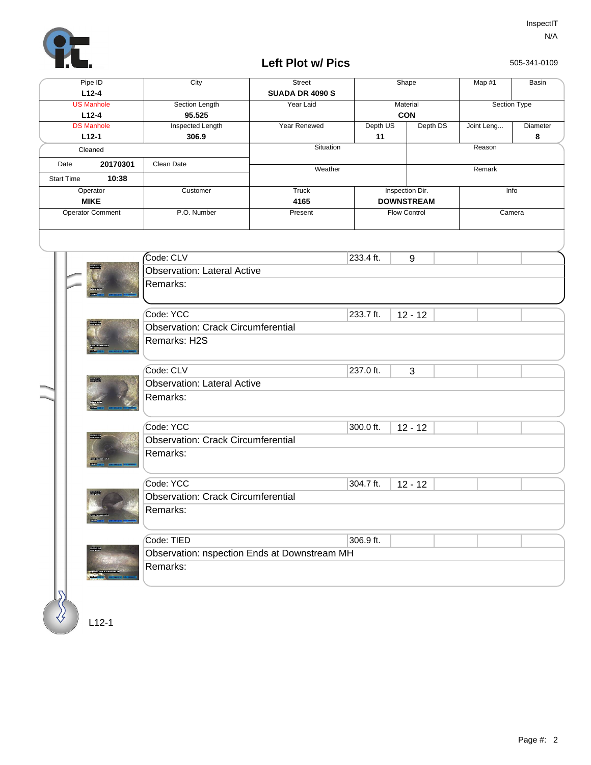

## **Left Plot w/ Pics**

505-341-0109

| <b>US Manhole</b><br>Section Length<br>Year Laid<br>Material<br><b>CON</b><br>$L12-4$<br>95.525<br><b>Inspected Length</b><br><b>DS Manhole</b><br>Year Renewed<br>Depth US<br>Depth DS<br>Joint Leng<br>$L12-1$<br>306.9<br>11<br>Situation<br>Reason<br>Cleaned<br>20170301<br>Clean Date<br>Date<br>Weather<br>Remark<br>10:38<br><b>Start Time</b><br>Inspection Dir.<br><b>Truck</b><br>Operator<br>Customer<br>Info<br><b>MIKE</b><br>4165<br><b>DOWNSTREAM</b><br><b>Operator Comment</b><br>Flow Control<br>Camera<br>P.O. Number<br>Present<br>$\mathsf{Code:}\nolimits$ CLV<br>233.4 ft.<br>9<br>199115<br><b>Observation: Lateral Active</b><br>Remarks:<br>Code: YCC<br>233.7 ft.<br>$12 - 12$<br>han List<br>List List<br><b>Observation: Crack Circumferential</b><br>Remarks: H2S<br>Code: CLV<br>237.0 ft.<br>3<br><b>Observation: Lateral Active</b><br>Remarks:<br>Code: YCC<br>300.0 ft.<br>$12 - 12$<br><b>Observation: Crack Circumferential</b><br>Remarks:<br>Code: YCC<br>304.7 ft.<br>$12 - 12$<br><b>Room</b><br><b>Observation: Crack Circumferential</b><br>Remarks:<br>Code: TIED<br>306.9 ft.<br>ne ar m<br>Observation: nspection Ends at Downstream MH<br>Remarks: | Pipe ID<br>$L12-4$ | City | <b>Street</b><br><b>SUADA DR 4090 S</b> |  | Shape | Map #1       | Basin         |  |  |  |
|----------------------------------------------------------------------------------------------------------------------------------------------------------------------------------------------------------------------------------------------------------------------------------------------------------------------------------------------------------------------------------------------------------------------------------------------------------------------------------------------------------------------------------------------------------------------------------------------------------------------------------------------------------------------------------------------------------------------------------------------------------------------------------------------------------------------------------------------------------------------------------------------------------------------------------------------------------------------------------------------------------------------------------------------------------------------------------------------------------------------------------------------------------------------------------------------------|--------------------|------|-----------------------------------------|--|-------|--------------|---------------|--|--|--|
|                                                                                                                                                                                                                                                                                                                                                                                                                                                                                                                                                                                                                                                                                                                                                                                                                                                                                                                                                                                                                                                                                                                                                                                                    |                    |      |                                         |  |       | Section Type |               |  |  |  |
|                                                                                                                                                                                                                                                                                                                                                                                                                                                                                                                                                                                                                                                                                                                                                                                                                                                                                                                                                                                                                                                                                                                                                                                                    |                    |      |                                         |  |       |              | Diameter<br>8 |  |  |  |
|                                                                                                                                                                                                                                                                                                                                                                                                                                                                                                                                                                                                                                                                                                                                                                                                                                                                                                                                                                                                                                                                                                                                                                                                    |                    |      |                                         |  |       |              |               |  |  |  |
|                                                                                                                                                                                                                                                                                                                                                                                                                                                                                                                                                                                                                                                                                                                                                                                                                                                                                                                                                                                                                                                                                                                                                                                                    |                    |      |                                         |  |       |              |               |  |  |  |
|                                                                                                                                                                                                                                                                                                                                                                                                                                                                                                                                                                                                                                                                                                                                                                                                                                                                                                                                                                                                                                                                                                                                                                                                    |                    |      |                                         |  |       |              |               |  |  |  |
|                                                                                                                                                                                                                                                                                                                                                                                                                                                                                                                                                                                                                                                                                                                                                                                                                                                                                                                                                                                                                                                                                                                                                                                                    |                    |      |                                         |  |       |              |               |  |  |  |
|                                                                                                                                                                                                                                                                                                                                                                                                                                                                                                                                                                                                                                                                                                                                                                                                                                                                                                                                                                                                                                                                                                                                                                                                    |                    |      |                                         |  |       |              |               |  |  |  |
|                                                                                                                                                                                                                                                                                                                                                                                                                                                                                                                                                                                                                                                                                                                                                                                                                                                                                                                                                                                                                                                                                                                                                                                                    |                    |      |                                         |  |       |              |               |  |  |  |
|                                                                                                                                                                                                                                                                                                                                                                                                                                                                                                                                                                                                                                                                                                                                                                                                                                                                                                                                                                                                                                                                                                                                                                                                    |                    |      |                                         |  |       |              |               |  |  |  |
|                                                                                                                                                                                                                                                                                                                                                                                                                                                                                                                                                                                                                                                                                                                                                                                                                                                                                                                                                                                                                                                                                                                                                                                                    |                    |      |                                         |  |       |              |               |  |  |  |
|                                                                                                                                                                                                                                                                                                                                                                                                                                                                                                                                                                                                                                                                                                                                                                                                                                                                                                                                                                                                                                                                                                                                                                                                    |                    |      |                                         |  |       |              |               |  |  |  |
|                                                                                                                                                                                                                                                                                                                                                                                                                                                                                                                                                                                                                                                                                                                                                                                                                                                                                                                                                                                                                                                                                                                                                                                                    |                    |      |                                         |  |       |              |               |  |  |  |
|                                                                                                                                                                                                                                                                                                                                                                                                                                                                                                                                                                                                                                                                                                                                                                                                                                                                                                                                                                                                                                                                                                                                                                                                    |                    |      |                                         |  |       |              |               |  |  |  |
|                                                                                                                                                                                                                                                                                                                                                                                                                                                                                                                                                                                                                                                                                                                                                                                                                                                                                                                                                                                                                                                                                                                                                                                                    |                    |      |                                         |  |       |              |               |  |  |  |
|                                                                                                                                                                                                                                                                                                                                                                                                                                                                                                                                                                                                                                                                                                                                                                                                                                                                                                                                                                                                                                                                                                                                                                                                    |                    |      |                                         |  |       |              |               |  |  |  |
|                                                                                                                                                                                                                                                                                                                                                                                                                                                                                                                                                                                                                                                                                                                                                                                                                                                                                                                                                                                                                                                                                                                                                                                                    |                    |      |                                         |  |       |              |               |  |  |  |
|                                                                                                                                                                                                                                                                                                                                                                                                                                                                                                                                                                                                                                                                                                                                                                                                                                                                                                                                                                                                                                                                                                                                                                                                    |                    |      |                                         |  |       |              |               |  |  |  |
|                                                                                                                                                                                                                                                                                                                                                                                                                                                                                                                                                                                                                                                                                                                                                                                                                                                                                                                                                                                                                                                                                                                                                                                                    |                    |      |                                         |  |       |              |               |  |  |  |
|                                                                                                                                                                                                                                                                                                                                                                                                                                                                                                                                                                                                                                                                                                                                                                                                                                                                                                                                                                                                                                                                                                                                                                                                    |                    |      |                                         |  |       |              |               |  |  |  |
|                                                                                                                                                                                                                                                                                                                                                                                                                                                                                                                                                                                                                                                                                                                                                                                                                                                                                                                                                                                                                                                                                                                                                                                                    |                    |      |                                         |  |       |              |               |  |  |  |
|                                                                                                                                                                                                                                                                                                                                                                                                                                                                                                                                                                                                                                                                                                                                                                                                                                                                                                                                                                                                                                                                                                                                                                                                    |                    |      |                                         |  |       |              |               |  |  |  |
|                                                                                                                                                                                                                                                                                                                                                                                                                                                                                                                                                                                                                                                                                                                                                                                                                                                                                                                                                                                                                                                                                                                                                                                                    |                    |      |                                         |  |       |              |               |  |  |  |
|                                                                                                                                                                                                                                                                                                                                                                                                                                                                                                                                                                                                                                                                                                                                                                                                                                                                                                                                                                                                                                                                                                                                                                                                    |                    |      |                                         |  |       |              |               |  |  |  |
|                                                                                                                                                                                                                                                                                                                                                                                                                                                                                                                                                                                                                                                                                                                                                                                                                                                                                                                                                                                                                                                                                                                                                                                                    |                    |      |                                         |  |       |              |               |  |  |  |
|                                                                                                                                                                                                                                                                                                                                                                                                                                                                                                                                                                                                                                                                                                                                                                                                                                                                                                                                                                                                                                                                                                                                                                                                    |                    |      |                                         |  |       |              |               |  |  |  |
|                                                                                                                                                                                                                                                                                                                                                                                                                                                                                                                                                                                                                                                                                                                                                                                                                                                                                                                                                                                                                                                                                                                                                                                                    |                    |      |                                         |  |       |              |               |  |  |  |
|                                                                                                                                                                                                                                                                                                                                                                                                                                                                                                                                                                                                                                                                                                                                                                                                                                                                                                                                                                                                                                                                                                                                                                                                    |                    |      |                                         |  |       |              |               |  |  |  |
| $L12-1$                                                                                                                                                                                                                                                                                                                                                                                                                                                                                                                                                                                                                                                                                                                                                                                                                                                                                                                                                                                                                                                                                                                                                                                            |                    |      |                                         |  |       |              |               |  |  |  |

L12-1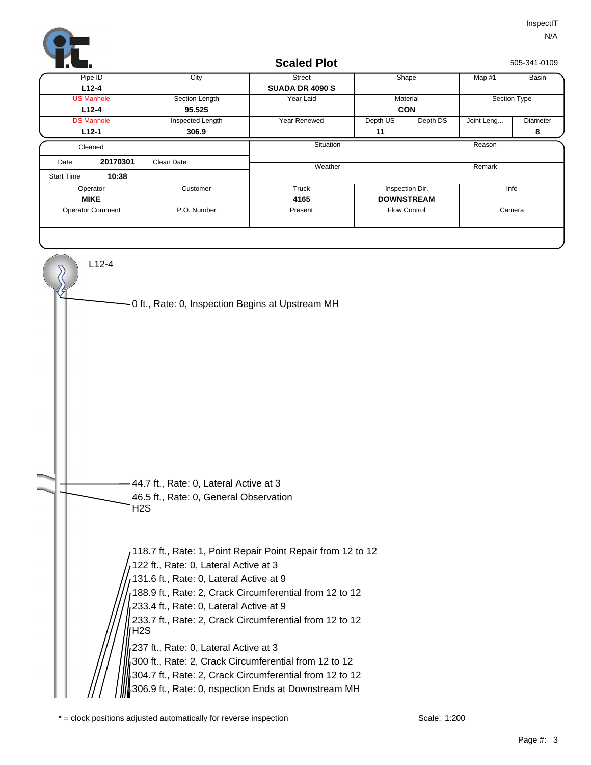

## L12-4 0 ft., Rate: 0, Inspection Begins at Upstream MH **Scaled Plot** 505-341-0109 Depth DS | Joint Leng... | Diameter **8 SUADA DR 4090 S L12-1 306.9 L12-4 11 CON** Pipe ID City Street Shape Map #1 DS Manhole **Inspected Length** Year Renewed Depth US Year Laid Material Street | Shape | Map #1 | Basin **L12-4** US Manhole **95.525** Section Length Section Type **10:38 20170301 DOWNSTREAM** Operator Customer Customer Truck **Situation** Start Time Cleaned Date 20170301 Clean Date Operator Comment P.O. Number Present Present Flow Control Camera Remark **Present** Inspection Dir. and Info **Weather** Customer Reason **MIKE 4165**



118.7 ft., Rate: 1, Point Repair Point Repair from 12 to 12 122 ft., Rate: 0, Lateral Active at 3 131.6 ft., Rate: 0, Lateral Active at 9 188.9 ft., Rate: 2, Crack Circumferential from 12 to 12 233.4 ft., Rate: 0, Lateral Active at 9 233.7 ft., Rate: 2, Crack Circumferential from 12 to 12 H2S 237 ft., Rate: 0, Lateral Active at 3 300 ft., Rate: 2, Crack Circumferential from 12 to 12 304.7 ft., Rate: 2, Crack Circumferential from 12 to 12 306.9 ft., Rate: 0, nspection Ends at Downstream MH